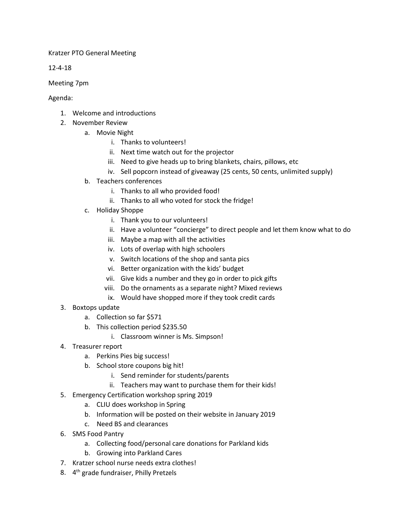## Kratzer PTO General Meeting

12-4-18

Meeting 7pm

Agenda:

- 1. Welcome and introductions
- 2. November Review
	- a. Movie Night
		- i. Thanks to volunteers!
		- ii. Next time watch out for the projector
		- iii. Need to give heads up to bring blankets, chairs, pillows, etc
		- iv. Sell popcorn instead of giveaway (25 cents, 50 cents, unlimited supply)
	- b. Teachers conferences
		- i. Thanks to all who provided food!
		- ii. Thanks to all who voted for stock the fridge!
	- c. Holiday Shoppe
		- i. Thank you to our volunteers!
		- ii. Have a volunteer "concierge" to direct people and let them know what to do
		- iii. Maybe a map with all the activities
		- iv. Lots of overlap with high schoolers
		- v. Switch locations of the shop and santa pics
		- vi. Better organization with the kids' budget
		- vii. Give kids a number and they go in order to pick gifts
		- viii. Do the ornaments as a separate night? Mixed reviews
		- ix. Would have shopped more if they took credit cards
- 3. Boxtops update
	- a. Collection so far \$571
	- b. This collection period \$235.50
		- i. Classroom winner is Ms. Simpson!
- 4. Treasurer report
	- a. Perkins Pies big success!
	- b. School store coupons big hit!
		- i. Send reminder for students/parents
		- ii. Teachers may want to purchase them for their kids!
- 5. Emergency Certification workshop spring 2019
	- a. CLIU does workshop in Spring
	- b. Information will be posted on their website in January 2019
	- c. Need BS and clearances
- 6. SMS Food Pantry
	- a. Collecting food/personal care donations for Parkland kids
	- b. Growing into Parkland Cares
- 7. Kratzer school nurse needs extra clothes!
- 8. 4<sup>th</sup> grade fundraiser, Philly Pretzels